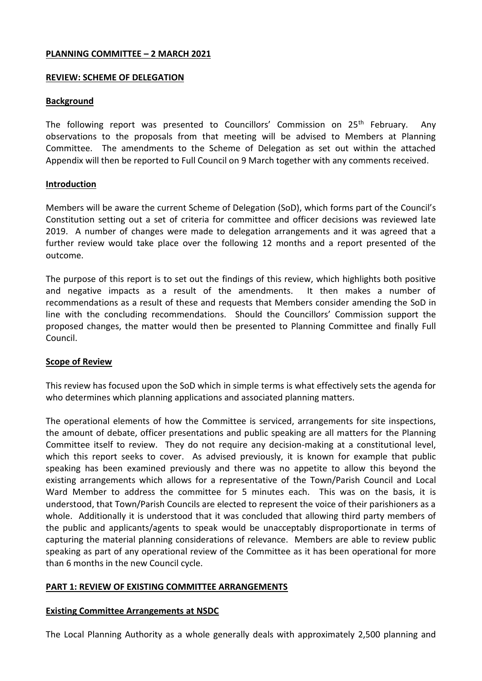## **PLANNING COMMITTEE – 2 MARCH 2021**

## **REVIEW: SCHEME OF DELEGATION**

# **Background**

The following report was presented to Councillors' Commission on  $25<sup>th</sup>$  February. Any observations to the proposals from that meeting will be advised to Members at Planning Committee. The amendments to the Scheme of Delegation as set out within the attached Appendix will then be reported to Full Council on 9 March together with any comments received.

## **Introduction**

Members will be aware the current Scheme of Delegation (SoD), which forms part of the Council's Constitution setting out a set of criteria for committee and officer decisions was reviewed late 2019. A number of changes were made to delegation arrangements and it was agreed that a further review would take place over the following 12 months and a report presented of the outcome.

The purpose of this report is to set out the findings of this review, which highlights both positive and negative impacts as a result of the amendments. It then makes a number of recommendations as a result of these and requests that Members consider amending the SoD in line with the concluding recommendations. Should the Councillors' Commission support the proposed changes, the matter would then be presented to Planning Committee and finally Full Council.

# **Scope of Review**

This review has focused upon the SoD which in simple terms is what effectively sets the agenda for who determines which planning applications and associated planning matters.

The operational elements of how the Committee is serviced, arrangements for site inspections, the amount of debate, officer presentations and public speaking are all matters for the Planning Committee itself to review. They do not require any decision-making at a constitutional level, which this report seeks to cover. As advised previously, it is known for example that public speaking has been examined previously and there was no appetite to allow this beyond the existing arrangements which allows for a representative of the Town/Parish Council and Local Ward Member to address the committee for 5 minutes each. This was on the basis, it is understood, that Town/Parish Councils are elected to represent the voice of their parishioners as a whole. Additionally it is understood that it was concluded that allowing third party members of the public and applicants/agents to speak would be unacceptably disproportionate in terms of capturing the material planning considerations of relevance. Members are able to review public speaking as part of any operational review of the Committee as it has been operational for more than 6 months in the new Council cycle.

# **PART 1: REVIEW OF EXISTING COMMITTEE ARRANGEMENTS**

## **Existing Committee Arrangements at NSDC**

The Local Planning Authority as a whole generally deals with approximately 2,500 planning and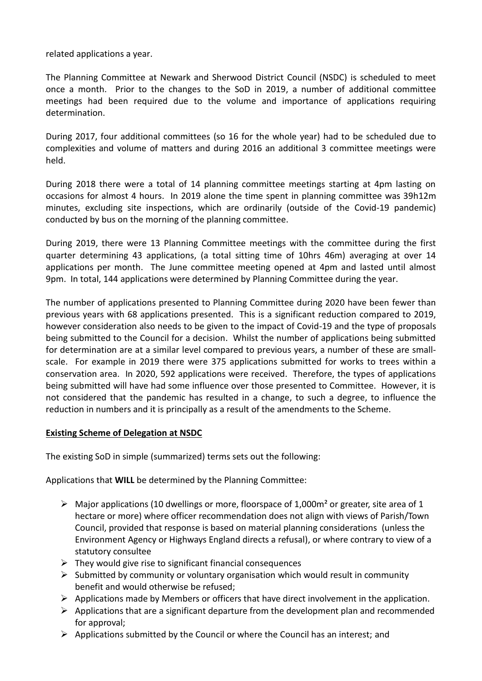related applications a year.

The Planning Committee at Newark and Sherwood District Council (NSDC) is scheduled to meet once a month. Prior to the changes to the SoD in 2019, a number of additional committee meetings had been required due to the volume and importance of applications requiring determination.

During 2017, four additional committees (so 16 for the whole year) had to be scheduled due to complexities and volume of matters and during 2016 an additional 3 committee meetings were held.

During 2018 there were a total of 14 planning committee meetings starting at 4pm lasting on occasions for almost 4 hours. In 2019 alone the time spent in planning committee was 39h12m minutes, excluding site inspections, which are ordinarily (outside of the Covid-19 pandemic) conducted by bus on the morning of the planning committee.

During 2019, there were 13 Planning Committee meetings with the committee during the first quarter determining 43 applications, (a total sitting time of 10hrs 46m) averaging at over 14 applications per month. The June committee meeting opened at 4pm and lasted until almost 9pm. In total, 144 applications were determined by Planning Committee during the year.

The number of applications presented to Planning Committee during 2020 have been fewer than previous years with 68 applications presented. This is a significant reduction compared to 2019, however consideration also needs to be given to the impact of Covid-19 and the type of proposals being submitted to the Council for a decision. Whilst the number of applications being submitted for determination are at a similar level compared to previous years, a number of these are smallscale. For example in 2019 there were 375 applications submitted for works to trees within a conservation area. In 2020, 592 applications were received. Therefore, the types of applications being submitted will have had some influence over those presented to Committee. However, it is not considered that the pandemic has resulted in a change, to such a degree, to influence the reduction in numbers and it is principally as a result of the amendments to the Scheme.

## **Existing Scheme of Delegation at NSDC**

The existing SoD in simple (summarized) terms sets out the following:

Applications that **WILL** be determined by the Planning Committee:

- $\triangleright$  Major applications (10 dwellings or more, floorspace of 1,000m<sup>2</sup> or greater, site area of 1 hectare or more) where officer recommendation does not align with views of Parish/Town Council, provided that response is based on material planning considerations (unless the Environment Agency or Highways England directs a refusal), or where contrary to view of a statutory consultee
- $\triangleright$  They would give rise to significant financial consequences
- $\triangleright$  Submitted by community or voluntary organisation which would result in community benefit and would otherwise be refused;
- $\triangleright$  Applications made by Members or officers that have direct involvement in the application.
- $\triangleright$  Applications that are a significant departure from the development plan and recommended for approval;
- $\triangleright$  Applications submitted by the Council or where the Council has an interest; and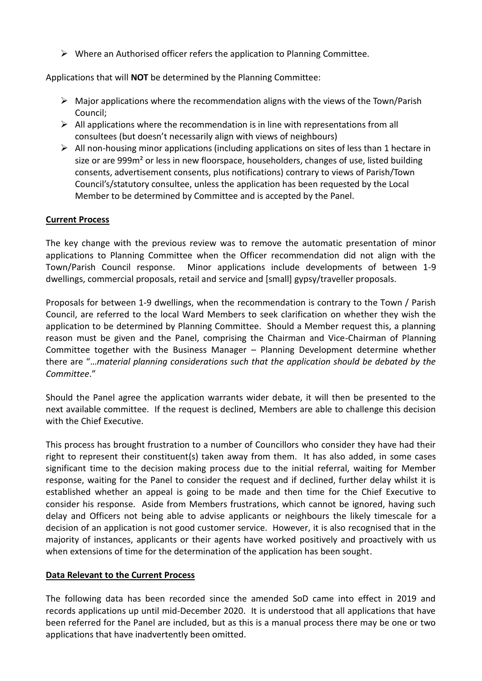$\triangleright$  Where an Authorised officer refers the application to Planning Committee.

Applications that will **NOT** be determined by the Planning Committee:

- $\triangleright$  Major applications where the recommendation aligns with the views of the Town/Parish Council;
- $\triangleright$  All applications where the recommendation is in line with representations from all consultees (but doesn't necessarily align with views of neighbours)
- $\triangleright$  All non-housing minor applications (including applications on sites of less than 1 hectare in size or are 999m² or less in new floorspace, householders, changes of use, listed building consents, advertisement consents, plus notifications) contrary to views of Parish/Town Council's/statutory consultee, unless the application has been requested by the Local Member to be determined by Committee and is accepted by the Panel.

# **Current Process**

The key change with the previous review was to remove the automatic presentation of minor applications to Planning Committee when the Officer recommendation did not align with the Town/Parish Council response. Minor applications include developments of between 1-9 dwellings, commercial proposals, retail and service and [small] gypsy/traveller proposals.

Proposals for between 1-9 dwellings, when the recommendation is contrary to the Town / Parish Council, are referred to the local Ward Members to seek clarification on whether they wish the application to be determined by Planning Committee. Should a Member request this, a planning reason must be given and the Panel, comprising the Chairman and Vice-Chairman of Planning Committee together with the Business Manager – Planning Development determine whether there are "…*material planning considerations such that the application should be debated by the Committee*."

Should the Panel agree the application warrants wider debate, it will then be presented to the next available committee. If the request is declined, Members are able to challenge this decision with the Chief Executive.

This process has brought frustration to a number of Councillors who consider they have had their right to represent their constituent(s) taken away from them. It has also added, in some cases significant time to the decision making process due to the initial referral, waiting for Member response, waiting for the Panel to consider the request and if declined, further delay whilst it is established whether an appeal is going to be made and then time for the Chief Executive to consider his response. Aside from Members frustrations, which cannot be ignored, having such delay and Officers not being able to advise applicants or neighbours the likely timescale for a decision of an application is not good customer service. However, it is also recognised that in the majority of instances, applicants or their agents have worked positively and proactively with us when extensions of time for the determination of the application has been sought.

## **Data Relevant to the Current Process**

The following data has been recorded since the amended SoD came into effect in 2019 and records applications up until mid-December 2020. It is understood that all applications that have been referred for the Panel are included, but as this is a manual process there may be one or two applications that have inadvertently been omitted.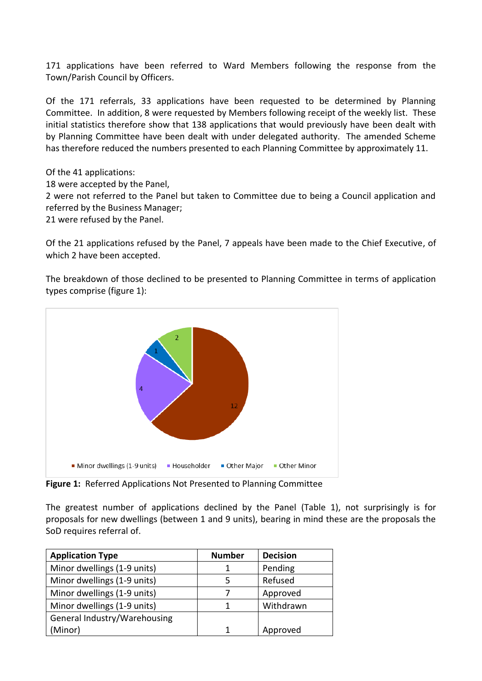171 applications have been referred to Ward Members following the response from the Town/Parish Council by Officers.

Of the 171 referrals, 33 applications have been requested to be determined by Planning Committee. In addition, 8 were requested by Members following receipt of the weekly list. These initial statistics therefore show that 138 applications that would previously have been dealt with by Planning Committee have been dealt with under delegated authority. The amended Scheme has therefore reduced the numbers presented to each Planning Committee by approximately 11.

Of the 41 applications: 18 were accepted by the Panel, 2 were not referred to the Panel but taken to Committee due to being a Council application and referred by the Business Manager; 21 were refused by the Panel.

Of the 21 applications refused by the Panel, 7 appeals have been made to the Chief Executive, of which 2 have been accepted.

The breakdown of those declined to be presented to Planning Committee in terms of application types comprise (figure 1):



**Figure 1:** Referred Applications Not Presented to Planning Committee

The greatest number of applications declined by the Panel (Table 1), not surprisingly is for proposals for new dwellings (between 1 and 9 units), bearing in mind these are the proposals the SoD requires referral of.

| <b>Application Type</b>      | <b>Number</b> | <b>Decision</b> |
|------------------------------|---------------|-----------------|
| Minor dwellings (1-9 units)  |               | Pending         |
| Minor dwellings (1-9 units)  |               | Refused         |
| Minor dwellings (1-9 units)  |               | Approved        |
| Minor dwellings (1-9 units)  |               | Withdrawn       |
| General Industry/Warehousing |               |                 |
| (Minor)                      |               | Approved        |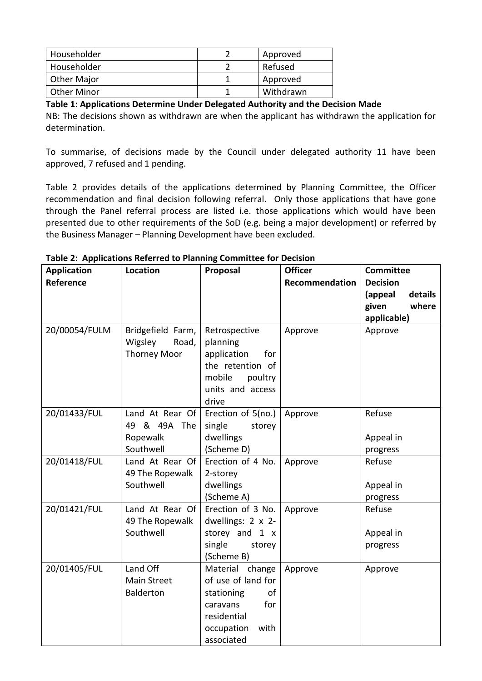| Householder        | Approved  |
|--------------------|-----------|
| Householder        | Refused   |
| Other Major        | Approved  |
| <b>Other Minor</b> | Withdrawn |

**Table 1: Applications Determine Under Delegated Authority and the Decision Made**

NB: The decisions shown as withdrawn are when the applicant has withdrawn the application for determination.

To summarise, of decisions made by the Council under delegated authority 11 have been approved, 7 refused and 1 pending.

Table 2 provides details of the applications determined by Planning Committee, the Officer recommendation and final decision following referral. Only those applications that have gone through the Panel referral process are listed i.e. those applications which would have been presented due to other requirements of the SoD (e.g. being a major development) or referred by the Business Manager – Planning Development have been excluded.

| <b>Application</b> | rapic 2. Applications neighbar to Flamming committee for Decision<br>Location | Proposal           | <b>Officer</b> | <b>Committee</b>   |
|--------------------|-------------------------------------------------------------------------------|--------------------|----------------|--------------------|
| Reference          |                                                                               |                    | Recommendation | <b>Decision</b>    |
|                    |                                                                               |                    |                | details<br>(appeal |
|                    |                                                                               |                    |                | where              |
|                    |                                                                               |                    |                | given              |
|                    |                                                                               |                    |                | applicable)        |
| 20/00054/FULM      | Bridgefield Farm,                                                             | Retrospective      | Approve        | Approve            |
|                    | Wigsley<br>Road,                                                              | planning           |                |                    |
|                    | <b>Thorney Moor</b>                                                           | application<br>for |                |                    |
|                    |                                                                               | the retention of   |                |                    |
|                    |                                                                               | mobile<br>poultry  |                |                    |
|                    |                                                                               | units and access   |                |                    |
|                    |                                                                               | drive              |                |                    |
| 20/01433/FUL       | Land At Rear Of                                                               | Erection of 5(no.) | Approve        | Refuse             |
|                    | 49 & 49A The                                                                  | single<br>storey   |                |                    |
|                    | Ropewalk                                                                      | dwellings          |                | Appeal in          |
|                    | Southwell                                                                     | (Scheme D)         |                | progress           |
| 20/01418/FUL       | Land At Rear Of                                                               | Erection of 4 No.  | Approve        | Refuse             |
|                    | 49 The Ropewalk                                                               | 2-storey           |                |                    |
|                    | Southwell                                                                     | dwellings          |                | Appeal in          |
|                    |                                                                               | (Scheme A)         |                | progress           |
| 20/01421/FUL       | Land At Rear Of                                                               | Erection of 3 No.  | Approve        | Refuse             |
|                    | 49 The Ropewalk                                                               | dwellings: 2 x 2-  |                |                    |
|                    | Southwell                                                                     | storey and 1 x     |                | Appeal in          |
|                    |                                                                               | single<br>storey   |                | progress           |
|                    |                                                                               | (Scheme B)         |                |                    |
| 20/01405/FUL       | Land Off                                                                      | Material change    | Approve        | Approve            |
|                    | <b>Main Street</b>                                                            | of use of land for |                |                    |
|                    | <b>Balderton</b>                                                              | stationing<br>of   |                |                    |
|                    |                                                                               | caravans<br>for    |                |                    |
|                    |                                                                               | residential        |                |                    |
|                    |                                                                               | occupation<br>with |                |                    |
|                    |                                                                               | associated         |                |                    |

**Table 2: Applications Referred to Planning Committee for Decision**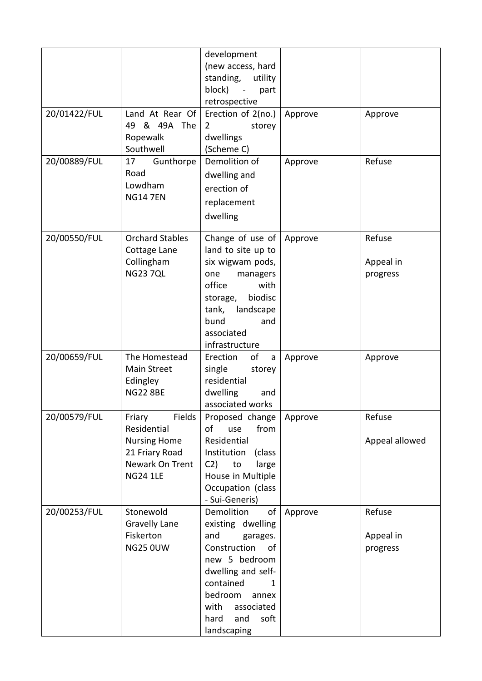|              |                                                                                                                | development<br>(new access, hard<br>standing,<br>utility<br>block)<br>part<br>$\sim$                                                                                                                                    |         |                                 |
|--------------|----------------------------------------------------------------------------------------------------------------|-------------------------------------------------------------------------------------------------------------------------------------------------------------------------------------------------------------------------|---------|---------------------------------|
| 20/01422/FUL | Land At Rear Of<br>49 & 49A The<br>Ropewalk<br>Southwell                                                       | retrospective<br>Erection of 2(no.)<br>$\overline{2}$<br>storey<br>dwellings<br>(Scheme C)                                                                                                                              | Approve | Approve                         |
| 20/00889/FUL | 17<br>Gunthorpe<br>Road<br>Lowdham<br><b>NG14 7EN</b>                                                          | Demolition of<br>dwelling and<br>erection of<br>replacement<br>dwelling                                                                                                                                                 | Approve | Refuse                          |
| 20/00550/FUL | <b>Orchard Stables</b><br>Cottage Lane<br>Collingham<br><b>NG23 7QL</b>                                        | Change of use of<br>land to site up to<br>six wigwam pods,<br>one<br>managers<br>office<br>with<br>biodisc<br>storage,<br>landscape<br>tank,<br>bund<br>and<br>associated<br>infrastructure                             | Approve | Refuse<br>Appeal in<br>progress |
| 20/00659/FUL | The Homestead<br>Main Street<br>Edingley<br><b>NG22 8BE</b>                                                    | of<br>Erection<br>a<br>single<br>storey<br>residential<br>dwelling<br>and<br>associated works                                                                                                                           | Approve | Approve                         |
| 20/00579/FUL | Fields<br>Friary<br>Residential<br><b>Nursing Home</b><br>21 Friary Road<br>Newark On Trent<br><b>NG24 1LE</b> | Proposed change<br>of<br>from<br>use<br>Residential<br>Institution<br>(class<br>C2)<br>large<br>to<br>House in Multiple<br>Occupation (class<br>- Sui-Generis)                                                          | Approve | Refuse<br>Appeal allowed        |
| 20/00253/FUL | Stonewold<br><b>Gravelly Lane</b><br>Fiskerton<br><b>NG25 0UW</b>                                              | Demolition<br>οf<br>existing dwelling<br>and<br>garages.<br>Construction<br>of<br>new 5 bedroom<br>dwelling and self-<br>contained<br>1<br>bedroom<br>annex<br>with<br>associated<br>and<br>soft<br>hard<br>landscaping | Approve | Refuse<br>Appeal in<br>progress |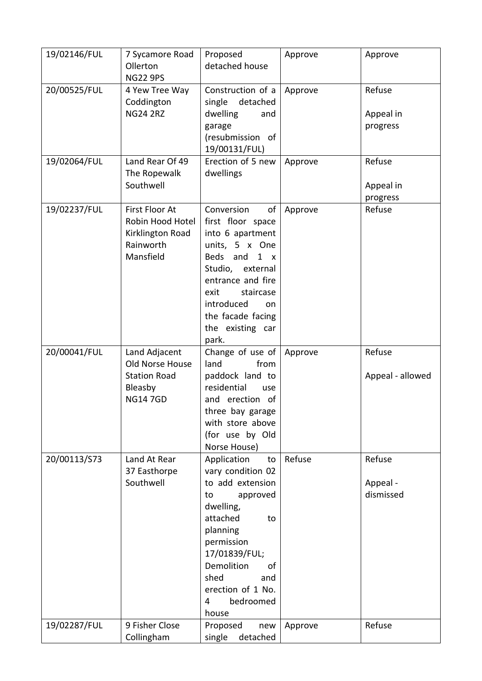| 19/02146/FUL | 7 Sycamore Road<br>Ollerton<br><b>NG22 9PS</b>                                       | Proposed<br>detached house                                                                                                                                                                                                                    | Approve | Approve                         |
|--------------|--------------------------------------------------------------------------------------|-----------------------------------------------------------------------------------------------------------------------------------------------------------------------------------------------------------------------------------------------|---------|---------------------------------|
| 20/00525/FUL | 4 Yew Tree Way<br>Coddington<br><b>NG24 2RZ</b>                                      | Construction of a<br>single<br>detached<br>dwelling<br>and<br>garage<br>(resubmission of<br>19/00131/FUL)                                                                                                                                     | Approve | Refuse<br>Appeal in<br>progress |
| 19/02064/FUL | Land Rear Of 49<br>The Ropewalk<br>Southwell                                         | Erection of 5 new<br>dwellings                                                                                                                                                                                                                | Approve | Refuse<br>Appeal in<br>progress |
| 19/02237/FUL | First Floor At<br>Robin Hood Hotel<br>Kirklington Road<br>Rainworth<br>Mansfield     | Conversion<br>of<br>first floor space<br>into 6 apartment<br>units, 5 x One<br>Beds and<br>$1 \times$<br>Studio,<br>external<br>entrance and fire<br>staircase<br>exit<br>introduced<br>on.<br>the facade facing<br>the existing car<br>park. | Approve | Refuse                          |
| 20/00041/FUL | Land Adjacent<br>Old Norse House<br><b>Station Road</b><br>Bleasby<br><b>NG147GD</b> | Change of use of<br>land<br>from<br>paddock land to<br>residential<br>use<br>and erection of<br>three bay garage<br>with store above<br>(for use by Old<br>Norse House)                                                                       | Approve | Refuse<br>Appeal - allowed      |
| 20/00113/S73 | Land At Rear<br>37 Easthorpe<br>Southwell                                            | Application<br>to<br>vary condition 02                                                                                                                                                                                                        | Refuse  | Refuse                          |
|              |                                                                                      | to add extension<br>approved<br>to<br>dwelling,<br>attached<br>to<br>planning<br>permission<br>17/01839/FUL;<br>Demolition<br>οf<br>shed<br>and<br>erection of 1 No.<br>bedroomed<br>4<br>house                                               |         | Appeal -<br>dismissed<br>Refuse |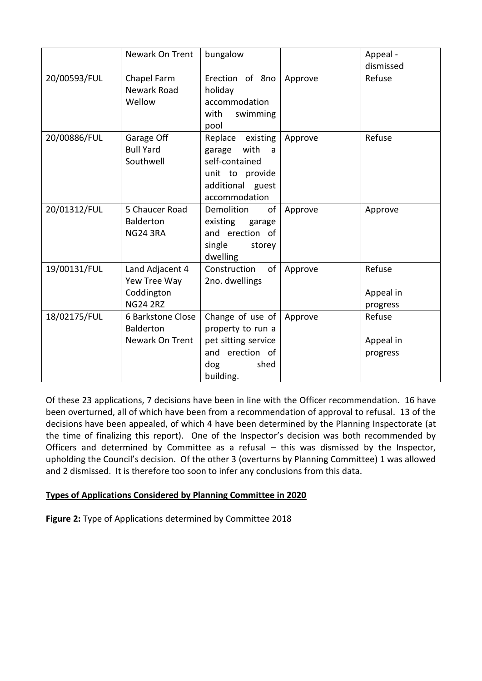|              | Newark On Trent                                                  | bungalow                                                                                                             |         | Appeal -<br>dismissed           |
|--------------|------------------------------------------------------------------|----------------------------------------------------------------------------------------------------------------------|---------|---------------------------------|
| 20/00593/FUL | Chapel Farm<br>Newark Road<br>Wellow                             | Erection of 8no<br>holiday<br>accommodation<br>with<br>swimming<br>pool                                              | Approve | Refuse                          |
| 20/00886/FUL | Garage Off<br><b>Bull Yard</b><br>Southwell                      | Replace<br>existing<br>with<br>garage<br>a<br>self-contained<br>unit to provide<br>additional guest<br>accommodation | Approve | Refuse                          |
| 20/01312/FUL | 5 Chaucer Road<br><b>Balderton</b><br><b>NG24 3RA</b>            | Demolition<br>οf<br>existing<br>garage<br>and erection of<br>single<br>storey<br>dwelling                            | Approve | Approve                         |
| 19/00131/FUL | Land Adjacent 4<br>Yew Tree Way<br>Coddington<br><b>NG24 2RZ</b> | Construction<br>of<br>2no. dwellings                                                                                 | Approve | Refuse<br>Appeal in<br>progress |
| 18/02175/FUL | 6 Barkstone Close<br><b>Balderton</b><br>Newark On Trent         | Change of use of<br>property to run a<br>pet sitting service<br>erection of<br>and<br>dog<br>shed<br>building.       | Approve | Refuse<br>Appeal in<br>progress |

Of these 23 applications, 7 decisions have been in line with the Officer recommendation. 16 have been overturned, all of which have been from a recommendation of approval to refusal. 13 of the decisions have been appealed, of which 4 have been determined by the Planning Inspectorate (at the time of finalizing this report). One of the Inspector's decision was both recommended by Officers and determined by Committee as a refusal – this was dismissed by the Inspector, upholding the Council's decision. Of the other 3 (overturns by Planning Committee) 1 was allowed and 2 dismissed. It is therefore too soon to infer any conclusions from this data.

# **Types of Applications Considered by Planning Committee in 2020**

**Figure 2:** Type of Applications determined by Committee 2018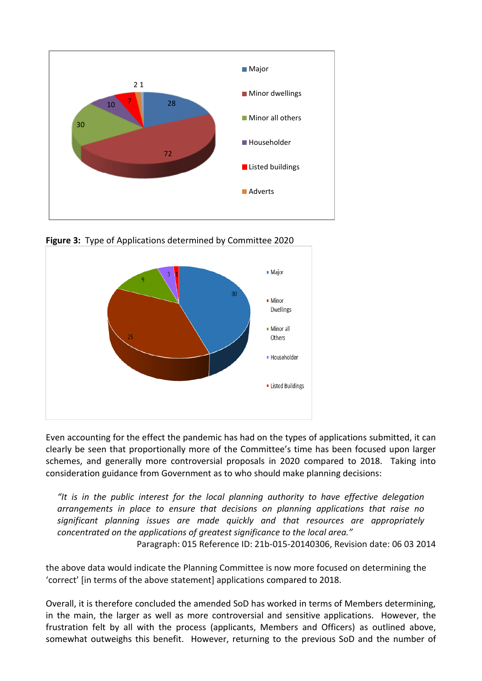

**Figure 3:** Type of Applications determined by Committee 2020



Even accounting for the effect the pandemic has had on the types of applications submitted, it can clearly be seen that proportionally more of the Committee's time has been focused upon larger schemes, and generally more controversial proposals in 2020 compared to 2018. Taking into consideration guidance from Government as to who should make planning decisions:

*"It is in the public interest for the local planning authority to have effective delegation arrangements in place to ensure that decisions on planning applications that raise no significant planning issues are made quickly and that resources are appropriately concentrated on the applications of greatest significance to the local area."* Paragraph: 015 Reference ID: 21b-015-20140306, Revision date: 06 03 2014

the above data would indicate the Planning Committee is now more focused on determining the 'correct' [in terms of the above statement] applications compared to 2018.

Overall, it is therefore concluded the amended SoD has worked in terms of Members determining, in the main, the larger as well as more controversial and sensitive applications. However, the frustration felt by all with the process (applicants, Members and Officers) as outlined above, somewhat outweighs this benefit. However, returning to the previous SoD and the number of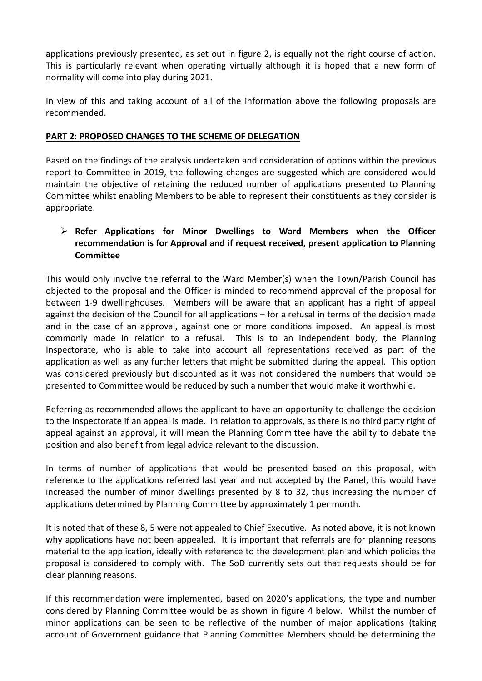applications previously presented, as set out in figure 2, is equally not the right course of action. This is particularly relevant when operating virtually although it is hoped that a new form of normality will come into play during 2021.

In view of this and taking account of all of the information above the following proposals are recommended.

# **PART 2: PROPOSED CHANGES TO THE SCHEME OF DELEGATION**

Based on the findings of the analysis undertaken and consideration of options within the previous report to Committee in 2019, the following changes are suggested which are considered would maintain the objective of retaining the reduced number of applications presented to Planning Committee whilst enabling Members to be able to represent their constituents as they consider is appropriate.

# **Refer Applications for Minor Dwellings to Ward Members when the Officer recommendation is for Approval and if request received, present application to Planning Committee**

This would only involve the referral to the Ward Member(s) when the Town/Parish Council has objected to the proposal and the Officer is minded to recommend approval of the proposal for between 1-9 dwellinghouses. Members will be aware that an applicant has a right of appeal against the decision of the Council for all applications – for a refusal in terms of the decision made and in the case of an approval, against one or more conditions imposed. An appeal is most commonly made in relation to a refusal. This is to an independent body, the Planning Inspectorate, who is able to take into account all representations received as part of the application as well as any further letters that might be submitted during the appeal. This option was considered previously but discounted as it was not considered the numbers that would be presented to Committee would be reduced by such a number that would make it worthwhile.

Referring as recommended allows the applicant to have an opportunity to challenge the decision to the Inspectorate if an appeal is made. In relation to approvals, as there is no third party right of appeal against an approval, it will mean the Planning Committee have the ability to debate the position and also benefit from legal advice relevant to the discussion.

In terms of number of applications that would be presented based on this proposal, with reference to the applications referred last year and not accepted by the Panel, this would have increased the number of minor dwellings presented by 8 to 32, thus increasing the number of applications determined by Planning Committee by approximately 1 per month.

It is noted that of these 8, 5 were not appealed to Chief Executive. As noted above, it is not known why applications have not been appealed. It is important that referrals are for planning reasons material to the application, ideally with reference to the development plan and which policies the proposal is considered to comply with. The SoD currently sets out that requests should be for clear planning reasons.

If this recommendation were implemented, based on 2020's applications, the type and number considered by Planning Committee would be as shown in figure 4 below. Whilst the number of minor applications can be seen to be reflective of the number of major applications (taking account of Government guidance that Planning Committee Members should be determining the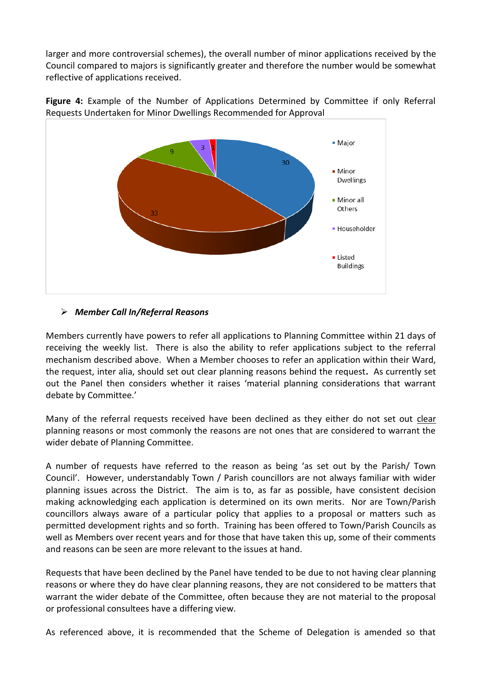larger and more controversial schemes), the overall number of minor applications received by the Council compared to majors is significantly greater and therefore the number would be somewhat reflective of applications received.



Figure 4: Example of the Number of Applications Determined by Committee if only Referral Requests Undertaken for Minor Dwellings Recommended for Approval

# *Member Call In/Referral Reasons*

Members currently have powers to refer all applications to Planning Committee within 21 days of receiving the weekly list. There is also the ability to refer applications subject to the referral mechanism described above. When a Member chooses to refer an application within their Ward, the request, inter alia, should set out clear planning reasons behind the request**.** As currently set out the Panel then considers whether it raises 'material planning considerations that warrant debate by Committee.'

Many of the referral requests received have been declined as they either do not set out clear planning reasons or most commonly the reasons are not ones that are considered to warrant the wider debate of Planning Committee.

A number of requests have referred to the reason as being 'as set out by the Parish/ Town Council'. However, understandably Town / Parish councillors are not always familiar with wider planning issues across the District. The aim is to, as far as possible, have consistent decision making acknowledging each application is determined on its own merits. Nor are Town/Parish councillors always aware of a particular policy that applies to a proposal or matters such as permitted development rights and so forth. Training has been offered to Town/Parish Councils as well as Members over recent years and for those that have taken this up, some of their comments and reasons can be seen are more relevant to the issues at hand.

Requests that have been declined by the Panel have tended to be due to not having clear planning reasons or where they do have clear planning reasons, they are not considered to be matters that warrant the wider debate of the Committee, often because they are not material to the proposal or professional consultees have a differing view.

As referenced above, it is recommended that the Scheme of Delegation is amended so that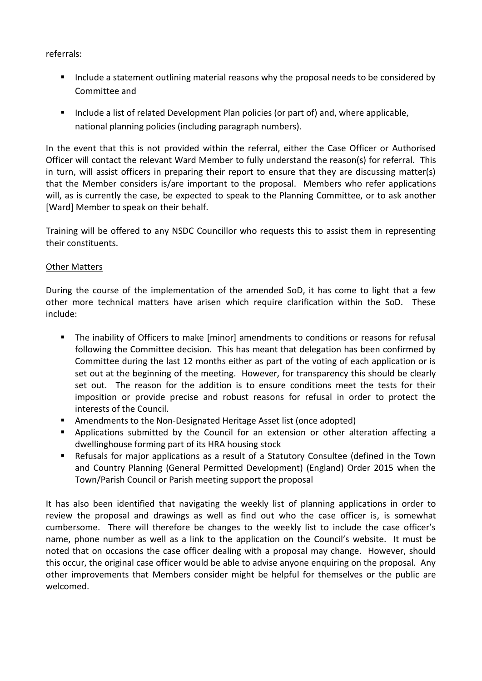referrals:

- Include a statement outlining material reasons why the proposal needs to be considered by Committee and
- **Include a list of related Development Plan policies (or part of) and, where applicable,** national planning policies (including paragraph numbers).

In the event that this is not provided within the referral, either the Case Officer or Authorised Officer will contact the relevant Ward Member to fully understand the reason(s) for referral. This in turn, will assist officers in preparing their report to ensure that they are discussing matter(s) that the Member considers is/are important to the proposal. Members who refer applications will, as is currently the case, be expected to speak to the Planning Committee, or to ask another [Ward] Member to speak on their behalf.

Training will be offered to any NSDC Councillor who requests this to assist them in representing their constituents.

# Other Matters

During the course of the implementation of the amended SoD, it has come to light that a few other more technical matters have arisen which require clarification within the SoD. These include:

- The inability of Officers to make [minor] amendments to conditions or reasons for refusal following the Committee decision. This has meant that delegation has been confirmed by Committee during the last 12 months either as part of the voting of each application or is set out at the beginning of the meeting. However, for transparency this should be clearly set out. The reason for the addition is to ensure conditions meet the tests for their imposition or provide precise and robust reasons for refusal in order to protect the interests of the Council.
- Amendments to the Non-Designated Heritage Asset list (once adopted)
- **Applications submitted by the Council for an extension or other alteration affecting a** dwellinghouse forming part of its HRA housing stock
- Refusals for major applications as a result of a Statutory Consultee (defined in the Town and Country Planning (General Permitted Development) (England) Order 2015 when the Town/Parish Council or Parish meeting support the proposal

It has also been identified that navigating the weekly list of planning applications in order to review the proposal and drawings as well as find out who the case officer is, is somewhat cumbersome. There will therefore be changes to the weekly list to include the case officer's name, phone number as well as a link to the application on the Council's website. It must be noted that on occasions the case officer dealing with a proposal may change. However, should this occur, the original case officer would be able to advise anyone enquiring on the proposal. Any other improvements that Members consider might be helpful for themselves or the public are welcomed.